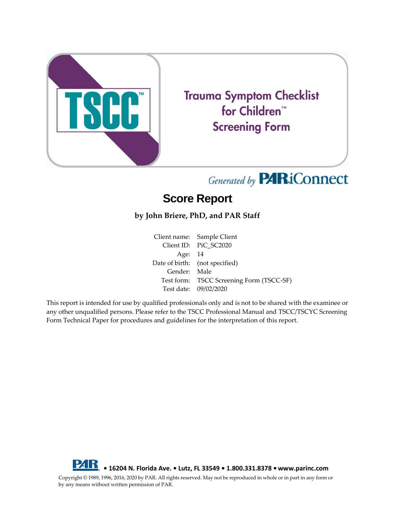

# **Trauma Symptom Checklist** for Children<sup>™</sup> **Screening Form**

# Generated by **PARiConnect**

## **Score Report**

### **by John Briere, PhD, and PAR Staff**

Client name: Sample Client Client ID: PiC\_SC2020 Age: 14 Date of birth: (not specified) Gender: Male Test form: TSCC Screening Form (TSCC-SF) Test date: 09/02/2020

This report is intended for use by qualified professionals only and is not to be shared with the examinee or any other unqualified persons. Please refer to the TSCC Professional Manual and TSCC/TSCYC Screening Form Technical Paper for procedures and guidelines for the interpretation of this report.



Copyright © 1989, 1996, 2016, 2020 by PAR. All rights reserved. May not be reproduced in whole or in part in any form or by any means without written permission of PAR.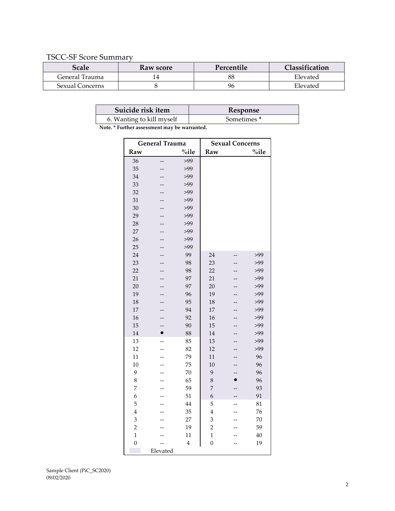#### TSCC-SF Score Summary

| Scale           | Raw score | Percentile | Classification |
|-----------------|-----------|------------|----------------|
| General Trauma  |           | 88         | Elevated       |
| Sexual Concerns |           | 96         | Elevated       |

| Suicide risk item                            | Response               |  |  |
|----------------------------------------------|------------------------|--|--|
| 6. Wanting to kill myself                    | Sometimes <sup>*</sup> |  |  |
| Note. * Further assessment may be warranted. |                        |  |  |

| <b>General Trauma</b> |                          | <b>Sexual Concerns</b> |                |                          |       |
|-----------------------|--------------------------|------------------------|----------------|--------------------------|-------|
| Raw                   |                          | %ile                   | Raw            |                          | %ile  |
| 36                    | $-$                      | >99                    |                |                          |       |
| 35                    | --                       | >99                    |                |                          |       |
| 34                    |                          | >99                    |                |                          |       |
| 33                    |                          | >99                    |                |                          |       |
| 32                    | --                       | >99                    |                |                          |       |
| 31                    |                          | >99                    |                |                          |       |
| 30                    | --                       | >99                    |                |                          |       |
| 29                    | --                       | >99                    |                |                          |       |
| 28                    | $-$                      | >99                    |                |                          |       |
| 27                    |                          | >99                    |                |                          |       |
| 26                    | --                       | >99                    |                |                          |       |
| 25                    | $\overline{\phantom{a}}$ | >99                    |                |                          |       |
| 24                    | --                       | 99                     | 24             | $\overline{\phantom{a}}$ | $>99$ |
| 23                    | --                       | 98                     | 23             | --                       | >99   |
| 22                    | --                       | 98                     | 22             | --                       | >99   |
| 21                    | Ξ.                       | 97                     | 21             | $-$                      | >99   |
| 20                    |                          | 97                     | 20             |                          | >99   |
| 19                    | $=$                      | 96                     | 19             |                          | >99   |
| 18                    |                          | 95                     | 18             |                          | >99   |
| 17                    |                          | 94                     | 17             |                          | $>99$ |
| 16                    |                          | 92                     | 16             |                          | >99   |
| 15                    | --                       | 90                     | 15             |                          | >99   |
| 14                    | $\bullet$                | 88                     | 14             |                          | >99   |
| 13                    | $\overline{a}$           | 85                     | 13             |                          | >99   |
| 12                    | $-$                      | 82                     | 12             | --                       | $>99$ |
| 11                    |                          | 79                     | 11             |                          | 96    |
| 10                    | --                       | 75                     | 10             | --                       | 96    |
| 9                     |                          | 70                     | 9              |                          | 96    |
| 8                     | --                       | 65                     | 8              | $\bullet$                | 96    |
| 7                     | $\overline{\phantom{a}}$ | 59                     | 7              |                          | 93    |
| 6                     |                          | 51                     | 6              | --                       | 91    |
| 5                     |                          | 44                     | 5              | $-$                      | 81    |
| $\overline{4}$        |                          | 35                     | $\overline{4}$ |                          | 76    |
| 3                     |                          | 27                     | 3              |                          | 70    |
| $\overline{c}$        |                          | 19                     | $\overline{c}$ |                          | 59    |
| $\mathbf{1}$          |                          | 11                     | $\mathbf{1}$   |                          | 40    |
| $\overline{0}$        |                          | $\overline{4}$         | $\overline{0}$ |                          | 19    |
|                       | Elevated                 |                        |                |                          |       |